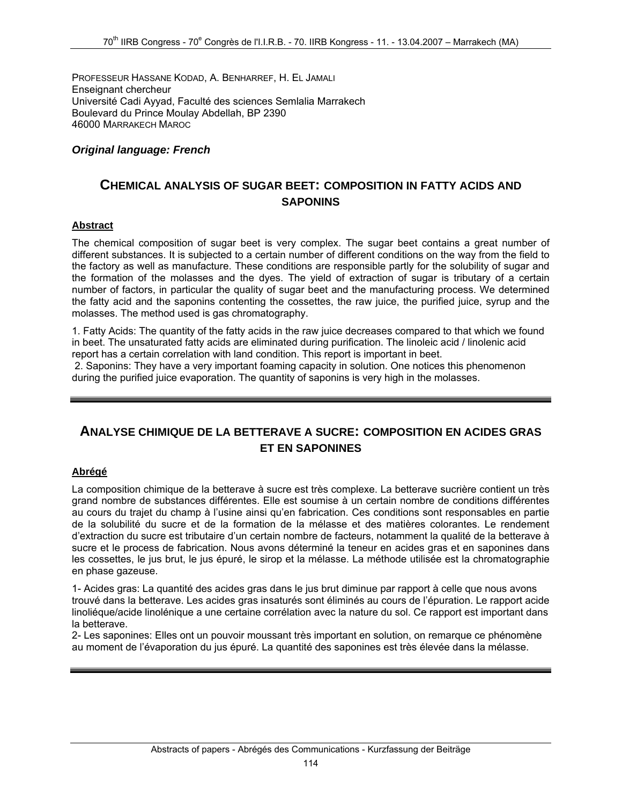PROFESSEUR HASSANE KODAD, A. BENHARREF, H. EL JAMALI Enseignant chercheur Université Cadi Ayyad, Faculté des sciences Semlalia Marrakech Boulevard du Prince Moulay Abdellah, BP 2390 46000 MARRAKECH MAROC

### *Original language: French*

## **CHEMICAL ANALYSIS OF SUGAR BEET: COMPOSITION IN FATTY ACIDS AND SAPONINS**

#### **Abstract**

The chemical composition of sugar beet is very complex. The sugar beet contains a great number of different substances. It is subjected to a certain number of different conditions on the way from the field to the factory as well as manufacture. These conditions are responsible partly for the solubility of sugar and the formation of the molasses and the dyes. The yield of extraction of sugar is tributary of a certain number of factors, in particular the quality of sugar beet and the manufacturing process. We determined the fatty acid and the saponins contenting the cossettes, the raw juice, the purified juice, syrup and the molasses. The method used is gas chromatography.

1. Fatty Acids: The quantity of the fatty acids in the raw juice decreases compared to that which we found in beet. The unsaturated fatty acids are eliminated during purification. The linoleic acid / linolenic acid report has a certain correlation with land condition. This report is important in beet.

 2. Saponins: They have a very important foaming capacity in solution. One notices this phenomenon during the purified juice evaporation. The quantity of saponins is very high in the molasses.

# **ANALYSE CHIMIQUE DE LA BETTERAVE A SUCRE: COMPOSITION EN ACIDES GRAS ET EN SAPONINES**

#### **Abrégé**

La composition chimique de la betterave à sucre est très complexe. La betterave sucrière contient un très grand nombre de substances différentes. Elle est soumise à un certain nombre de conditions différentes au cours du trajet du champ à l'usine ainsi qu'en fabrication. Ces conditions sont responsables en partie de la solubilité du sucre et de la formation de la mélasse et des matières colorantes. Le rendement d'extraction du sucre est tributaire d'un certain nombre de facteurs, notamment la qualité de la betterave à sucre et le process de fabrication. Nous avons déterminé la teneur en acides gras et en saponines dans les cossettes, le jus brut, le jus épuré, le sirop et la mélasse. La méthode utilisée est la chromatographie en phase gazeuse.

1- Acides gras: La quantité des acides gras dans le jus brut diminue par rapport à celle que nous avons trouvé dans la betterave. Les acides gras insaturés sont éliminés au cours de l'épuration. Le rapport acide linoliéque/acide linolénique a une certaine corrélation avec la nature du sol. Ce rapport est important dans la betterave.

2- Les saponines: Elles ont un pouvoir moussant très important en solution, on remarque ce phénomène au moment de l'évaporation du jus épuré. La quantité des saponines est très élevée dans la mélasse.